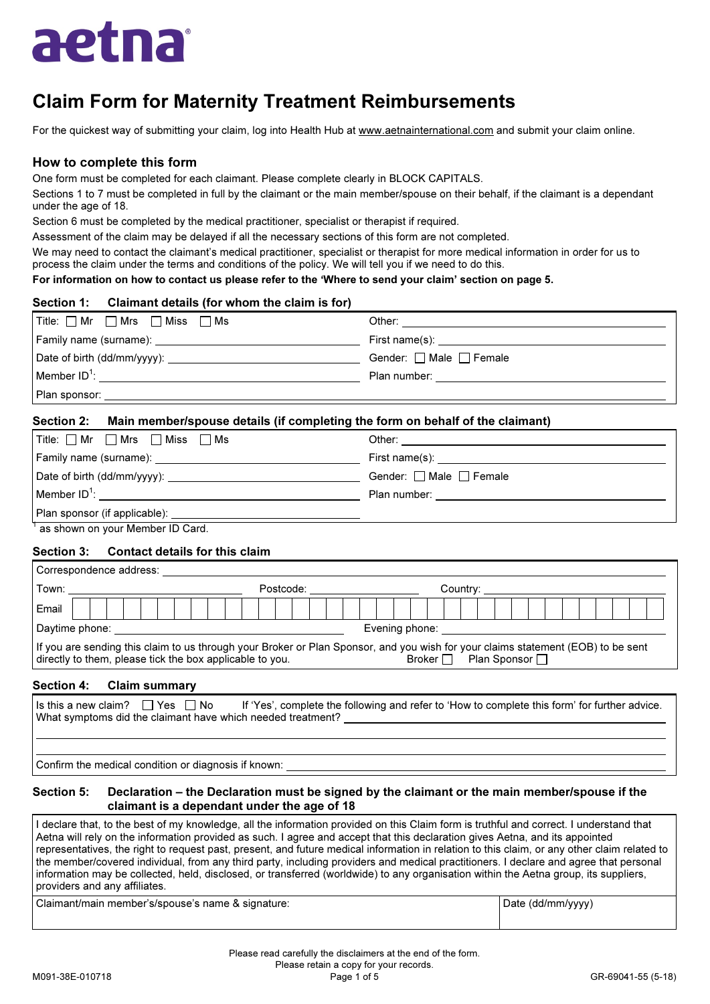

# Claim Form for Maternity Treatment Reimbursements

For the quickest way of submitting your claim, log into Health Hub at www.aetnainternational.com and submit your claim online.

## How to complete this form

One form must be completed for each claimant. Please complete clearly in BLOCK CAPITALS.

Sections 1 to 7 must be completed in full by the claimant or the main member/spouse on their behalf, if the claimant is a dependant under the age of 18.

Section 6 must be completed by the medical practitioner, specialist or therapist if required.

Assessment of the claim may be delayed if all the necessary sections of this form are not completed.

We may need to contact the claimant's medical practitioner, specialist or therapist for more medical information in order for us to process the claim under the terms and conditions of the policy. We will tell you if we need to do this.

For information on how to contact us please refer to the 'Where to send your claim' section on page 5.

| Section 1: Claimant details (for whom the claim is for)                                                                                                                                                                        |                                         |
|--------------------------------------------------------------------------------------------------------------------------------------------------------------------------------------------------------------------------------|-----------------------------------------|
| Title: □ Mr □ Mrs □ Miss □ Ms                                                                                                                                                                                                  |                                         |
|                                                                                                                                                                                                                                |                                         |
|                                                                                                                                                                                                                                | Gender: $\Box$ Male $\Box$ Female       |
|                                                                                                                                                                                                                                | Plan number: <u>___________________</u> |
| Plan sponsor: and the state of the state of the state of the state of the state of the state of the state of the state of the state of the state of the state of the state of the state of the state of the state of the state |                                         |

## Section 2: Main member/spouse details (if completing the form on behalf of the claimant)

| $\mid$ Title: $\Box$ Mr $\quad \Box$ Mrs $\quad \Box$ Miss $\quad \Box$ Ms |                                                |  |
|----------------------------------------------------------------------------|------------------------------------------------|--|
|                                                                            | First name(s): _______________________________ |  |
|                                                                            | Gender: $\Box$ Male $\Box$ Female              |  |
| Member $ID^1$ :                                                            | Plan number: _________________                 |  |
|                                                                            |                                                |  |
| $1$ as about an usual sember ID Card                                       |                                                |  |

as shown on your Member ID Card.

### Section 3: Contact details for this claim

| Correspondence address:                                                                                                                                                                                                         |                                                                                                                                                                                                                                                                          |  |  |  |  |  |  |  |                                                                                                                                                                                                                                |  |  |  |  |  |  |  |  |  |  |  |  |  |
|---------------------------------------------------------------------------------------------------------------------------------------------------------------------------------------------------------------------------------|--------------------------------------------------------------------------------------------------------------------------------------------------------------------------------------------------------------------------------------------------------------------------|--|--|--|--|--|--|--|--------------------------------------------------------------------------------------------------------------------------------------------------------------------------------------------------------------------------------|--|--|--|--|--|--|--|--|--|--|--|--|--|
|                                                                                                                                                                                                                                 |                                                                                                                                                                                                                                                                          |  |  |  |  |  |  |  | Postcode: with a state of the state of the state of the state of the state of the state of the state of the state of the state of the state of the state of the state of the state of the state of the state of the state of t |  |  |  |  |  |  |  |  |  |  |  |  |  |
| Email                                                                                                                                                                                                                           |                                                                                                                                                                                                                                                                          |  |  |  |  |  |  |  |                                                                                                                                                                                                                                |  |  |  |  |  |  |  |  |  |  |  |  |  |
|                                                                                                                                                                                                                                 | Daytime phone: _______________________<br>Evening phone: the contract of the contract of the contract of the contract of the contract of the contract of the contract of the contract of the contract of the contract of the contract of the contract of the contract of |  |  |  |  |  |  |  |                                                                                                                                                                                                                                |  |  |  |  |  |  |  |  |  |  |  |  |  |
| If you are sending this claim to us through your Broker or Plan Sponsor, and you wish for your claims statement (EOB) to be sent<br>Plan Sponsor □<br>Broker $\Box$<br>directly to them, please tick the box applicable to you. |                                                                                                                                                                                                                                                                          |  |  |  |  |  |  |  |                                                                                                                                                                                                                                |  |  |  |  |  |  |  |  |  |  |  |  |  |

### Section 4: Claim summary

| Is this a new claim? $\Box$ Yes $\Box$ No<br>If 'Yes', complete the following and refer to 'How to complete this form' for further advice.<br>What symptoms did the claimant have which needed treatment? |
|-----------------------------------------------------------------------------------------------------------------------------------------------------------------------------------------------------------|
|                                                                                                                                                                                                           |
| $\Gamma$ Confirm the medical condition or diagnosis if known:                                                                                                                                             |

onfirm the medical condition or diagnosis if known:

#### Section 5: Declaration – the Declaration must be signed by the claimant or the main member/spouse if the claimant is a dependant under the age of 18

I declare that, to the best of my knowledge, all the information provided on this Claim form is truthful and correct. I understand that Aetna will rely on the information provided as such. I agree and accept that this declaration gives Aetna, and its appointed representatives, the right to request past, present, and future medical information in relation to this claim, or any other claim related to the member/covered individual, from any third party, including providers and medical practitioners. I declare and agree that personal information may be collected, held, disclosed, or transferred (worldwide) to any organisation within the Aetna group, its suppliers, providers and any affiliates.

Claimant/main member's/spouse's name & signature: Date (dd/mm/yyyy) and Date (dd/mm/yyyy)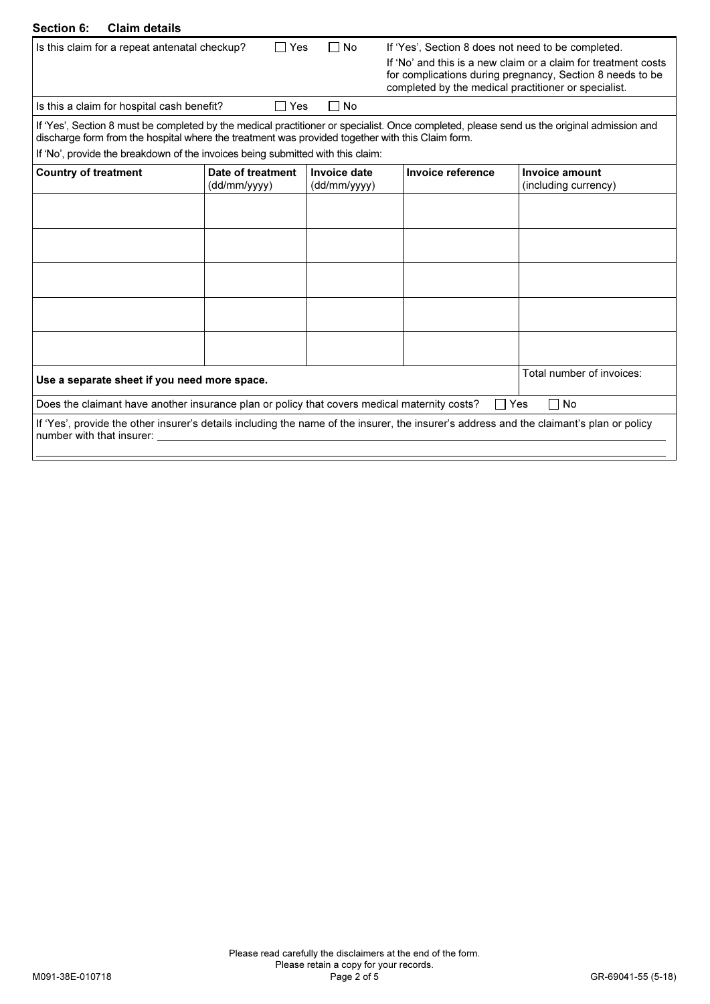#### Section 6: Claim details

| <b>Section 6:</b><br><b>Claim details</b>                                                                                                                                                                                                      |                                   |                              |                                                    |                                        |  |  |  |  |  |
|------------------------------------------------------------------------------------------------------------------------------------------------------------------------------------------------------------------------------------------------|-----------------------------------|------------------------------|----------------------------------------------------|----------------------------------------|--|--|--|--|--|
| Is this claim for a repeat antenatal checkup?                                                                                                                                                                                                  | $\sqcap$ Yes                      | ∏ No                         | If 'Yes', Section 8 does not need to be completed. |                                        |  |  |  |  |  |
| If 'No' and this is a new claim or a claim for treatment costs<br>for complications during pregnancy, Section 8 needs to be<br>completed by the medical practitioner or specialist.                                                            |                                   |                              |                                                    |                                        |  |  |  |  |  |
| Is this a claim for hospital cash benefit?                                                                                                                                                                                                     | □ Yes                             | $\Box$ No                    |                                                    |                                        |  |  |  |  |  |
| If 'Yes', Section 8 must be completed by the medical practitioner or specialist. Once completed, please send us the original admission and<br>discharge form from the hospital where the treatment was provided together with this Claim form. |                                   |                              |                                                    |                                        |  |  |  |  |  |
| If 'No', provide the breakdown of the invoices being submitted with this claim:                                                                                                                                                                |                                   |                              |                                                    |                                        |  |  |  |  |  |
| <b>Country of treatment</b>                                                                                                                                                                                                                    | Date of treatment<br>(dd/mm/yyyy) | Invoice date<br>(dd/mm/yyyy) | Invoice reference                                  | Invoice amount<br>(including currency) |  |  |  |  |  |
|                                                                                                                                                                                                                                                |                                   |                              |                                                    |                                        |  |  |  |  |  |
|                                                                                                                                                                                                                                                |                                   |                              |                                                    |                                        |  |  |  |  |  |
|                                                                                                                                                                                                                                                |                                   |                              |                                                    |                                        |  |  |  |  |  |
|                                                                                                                                                                                                                                                |                                   |                              |                                                    |                                        |  |  |  |  |  |
|                                                                                                                                                                                                                                                |                                   |                              |                                                    |                                        |  |  |  |  |  |
|                                                                                                                                                                                                                                                |                                   |                              |                                                    |                                        |  |  |  |  |  |
|                                                                                                                                                                                                                                                |                                   |                              |                                                    |                                        |  |  |  |  |  |
| Use a separate sheet if you need more space.                                                                                                                                                                                                   |                                   |                              |                                                    | Total number of invoices:              |  |  |  |  |  |
| Does the claimant have another insurance plan or policy that covers medical maternity costs?                                                                                                                                                   |                                   |                              |                                                    | $\Box$ No<br>∃ Yes                     |  |  |  |  |  |
| If 'Yes', provide the other insurer's details including the name of the insurer, the insurer's address and the claimant's plan or policy<br>number with that insurer:                                                                          |                                   |                              |                                                    |                                        |  |  |  |  |  |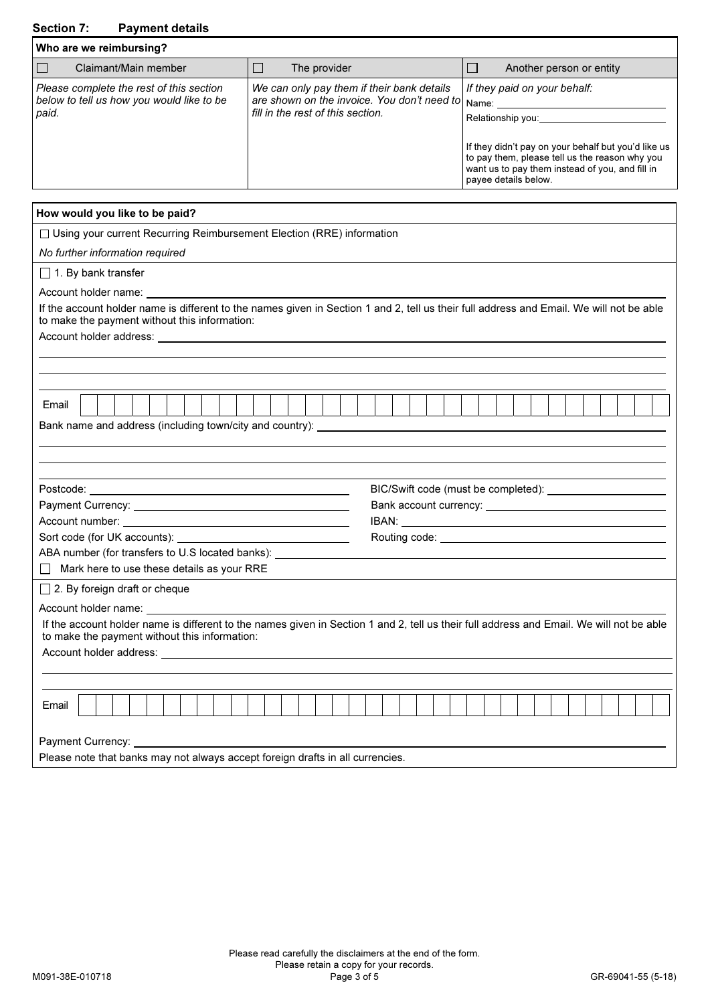# Section 7: Payment details

| Who are we reimbursing?                                                                        |                                                                                                                                      |                                                                                                                                                            |
|------------------------------------------------------------------------------------------------|--------------------------------------------------------------------------------------------------------------------------------------|------------------------------------------------------------------------------------------------------------------------------------------------------------|
| Claimant/Main member                                                                           | The provider                                                                                                                         | Another person or entity                                                                                                                                   |
| Please complete the rest of this section<br>below to tell us how you would like to be<br>paid. | We can only pay them if their bank details<br>are shown on the invoice. You don't need to Name:<br>fill in the rest of this section. | If they paid on your behalf:<br>Relationship you:<br>If they didn't pay on your behalf but you'd like us<br>to pay them, please tell us the reason why you |
|                                                                                                |                                                                                                                                      | want us to pay them instead of you, and fill in<br>payee details below.                                                                                    |

| How would you like to be paid?                                                                                                                                                                                                       |
|--------------------------------------------------------------------------------------------------------------------------------------------------------------------------------------------------------------------------------------|
| □ Using your current Recurring Reimbursement Election (RRE) information                                                                                                                                                              |
| No further information required                                                                                                                                                                                                      |
| $\Box$ 1. By bank transfer                                                                                                                                                                                                           |
|                                                                                                                                                                                                                                      |
| If the account holder name is different to the names given in Section 1 and 2, tell us their full address and Email. We will not be able<br>to make the payment without this information:                                            |
|                                                                                                                                                                                                                                      |
|                                                                                                                                                                                                                                      |
|                                                                                                                                                                                                                                      |
| Email                                                                                                                                                                                                                                |
|                                                                                                                                                                                                                                      |
|                                                                                                                                                                                                                                      |
|                                                                                                                                                                                                                                      |
|                                                                                                                                                                                                                                      |
|                                                                                                                                                                                                                                      |
|                                                                                                                                                                                                                                      |
|                                                                                                                                                                                                                                      |
| ABA number (for transfers to U.S located banks): _______________________________                                                                                                                                                     |
| $\Box$ Mark here to use these details as your RRE                                                                                                                                                                                    |
| $\Box$ 2. By foreign draft or cheque                                                                                                                                                                                                 |
| Account holder name: <u>contained and the series of the series of the series of the series of the series of the series of the series of the series of the series of the series of the series of the series of the series of the </u> |
| If the account holder name is different to the names given in Section 1 and 2, tell us their full address and Email. We will not be able                                                                                             |
| to make the payment without this information:                                                                                                                                                                                        |
|                                                                                                                                                                                                                                      |
|                                                                                                                                                                                                                                      |
| Email                                                                                                                                                                                                                                |
|                                                                                                                                                                                                                                      |
| Payment Currency:                                                                                                                                                                                                                    |
| Please note that banks may not always accept foreign drafts in all currencies.                                                                                                                                                       |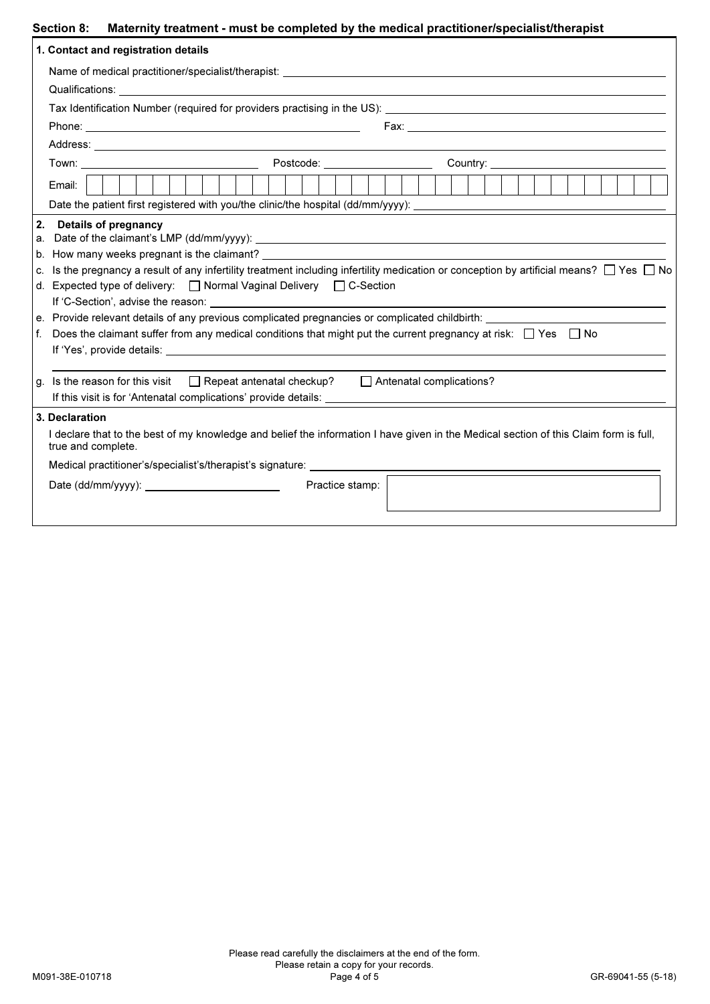## Section 8: Maternity treatment - must be completed by the medical practitioner/specialist/therapist

|                         | 1. Contact and registration details                                                                                                                                                                                                                                                                                                                                                                                                                                                                                                                                                                                                                                                                                                                                                                                                     |
|-------------------------|-----------------------------------------------------------------------------------------------------------------------------------------------------------------------------------------------------------------------------------------------------------------------------------------------------------------------------------------------------------------------------------------------------------------------------------------------------------------------------------------------------------------------------------------------------------------------------------------------------------------------------------------------------------------------------------------------------------------------------------------------------------------------------------------------------------------------------------------|
|                         |                                                                                                                                                                                                                                                                                                                                                                                                                                                                                                                                                                                                                                                                                                                                                                                                                                         |
|                         |                                                                                                                                                                                                                                                                                                                                                                                                                                                                                                                                                                                                                                                                                                                                                                                                                                         |
|                         |                                                                                                                                                                                                                                                                                                                                                                                                                                                                                                                                                                                                                                                                                                                                                                                                                                         |
|                         |                                                                                                                                                                                                                                                                                                                                                                                                                                                                                                                                                                                                                                                                                                                                                                                                                                         |
|                         |                                                                                                                                                                                                                                                                                                                                                                                                                                                                                                                                                                                                                                                                                                                                                                                                                                         |
|                         | Town: Town: Town: Town: Town: Town: Town: Town: Town: Town: Town: Town: Town: Town: Town: Town: Town: Town: Town: Town: Town: Town: Town: Town: Town: Town: Town: Town: Town: Town: Town: Town: Town: Town: Town: Town: Town:                                                                                                                                                                                                                                                                                                                                                                                                                                                                                                                                                                                                           |
|                         | Email:                                                                                                                                                                                                                                                                                                                                                                                                                                                                                                                                                                                                                                                                                                                                                                                                                                  |
| 2.<br>а.<br>$f_{\cdot}$ | <b>Details of pregnancy</b><br>b. How many weeks pregnant is the claimant? Letter and the contract of the contract of the contract of the contract of the contract of the contract of the contract of the contract of the contract of the contract of the con<br>c. Is the pregnancy a result of any infertility treatment including infertility medication or conception by artificial means? $\Box$ Yes $\Box$ No<br>d. Expected type of delivery: □ Normal Vaginal Delivery □ C-Section<br>e. Provide relevant details of any previous complicated pregnancies or complicated childbirth: ___________<br>Does the claimant suffer from any medical conditions that might put the current pregnancy at risk: $\Box$ Yes $\Box$ No<br>g. Is the reason for this visit $\Box$ Repeat antenatal checkup? $\Box$ Antenatal complications? |
|                         |                                                                                                                                                                                                                                                                                                                                                                                                                                                                                                                                                                                                                                                                                                                                                                                                                                         |
|                         | 3. Declaration<br>I declare that to the best of my knowledge and belief the information I have given in the Medical section of this Claim form is full,<br>true and complete.<br>Practice stamp:                                                                                                                                                                                                                                                                                                                                                                                                                                                                                                                                                                                                                                        |